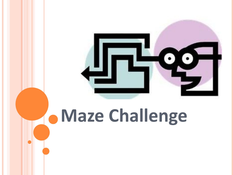

# **Maze Challenge**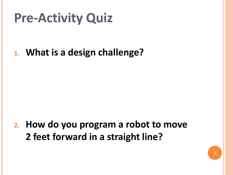## **Pre-Activity Quiz**

#### **1. What is a design challenge?**

#### **2. How do you program a robot to move 2 feet forward in a straight line?**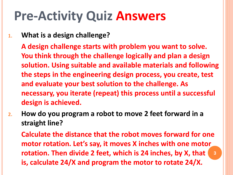### **Pre-Activity Quiz Answers**

**1. What is a design challenge?**

**A design challenge starts with problem you want to solve. You think through the challenge logically and plan a design solution. Using suitable and available materials and following the steps in the engineering design process, you create, test and evaluate your best solution to the challenge. As necessary, you iterate (repeat) this process until a successful design is achieved.**

**2. How do you program a robot to move 2 feet forward in a straight line?**

**Calculate the distance that the robot moves forward for one motor rotation. Let's say, it moves X inches with one motor rotation. Then divide 2 feet, which is 24 inches, by X, that is, calculate 24/X and program the motor to rotate 24/X. 3**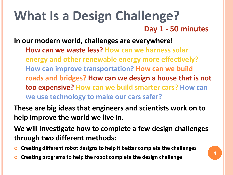### **What Is a Design Challenge? Day 1 - 50 minutes**

**In our modern world, challenges are everywhere!** 

**How can we waste less? How can we harness solar energy and other renewable energy more effectively? How can improve transportation? How can we build roads and bridges? How can we design a house that is not too expensive? How can we build smarter cars? How can we use technology to make our cars safer?**

**These are big ideas that engineers and scientists work on to help improve the world we live in.**

**We will investigate how to complete a few design challenges through two different methods:**

- **Creating different robot designs to help it better complete the challenges**
- **Creating programs to help the robot complete the design challenge**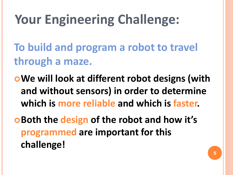## **Your Engineering Challenge:**

**To build and program a robot to travel through a maze.**

**We will look at different robot designs (with and without sensors) in order to determine which is more reliable and which is faster.**

**Both the design of the robot and how it's programmed are important for this challenge!**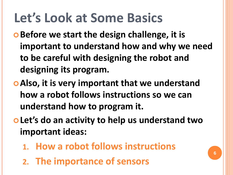## **Let's Look at Some Basics**

- $\bullet$  **Before we start the design challenge, it is important to understand how and why we need to be careful with designing the robot and designing its program.**
- **Also, it is very important that we understand how a robot follows instructions so we can understand how to program it.**
- **Let's do an activity to help us understand two important ideas:**
	- **1. How a robot follows instructions**
	- **2. The importance of sensors**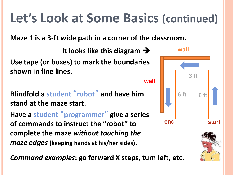#### **It looks like this diagram Use tape (or boxes) to mark the boundaries shown in fine lines. Blindfold a student** "**robot**" **and have him stand at the maze start. Have a student** " **programmer** " **give a series of commands to instruct the "robot" to complete the maze** *without touching the*  **6 ft 6 ft 3 ft end start wall wall Let's Look at Some Basics (continued) Maze 1 is a 3-ft wide path in a corner of the classroom.**

**7**

*maze edges* **(keeping hands at his/her sides).** 

*Command examples***: go forward X steps, turn left, etc.**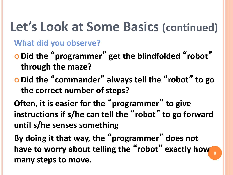#### **What did you observe?**

- **Did the** " **programmer** " **get the blindfolded** "**robot**" **through the maze?**
- **Did the** "**commander**" **always tell the** "**robot**" **to go the correct number of steps?**

**Often, it is easier for the** " **programmer** " **to give instructions if s/he can tell the** "**robot**" **to go forward until s/he senses something**

**By doing it that way, the** " **programmer** " **does not have to worry about telling the** "**robot**" **exactly how 8 many steps to move.**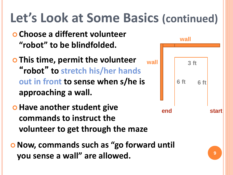- **Choose a different volunteer "robot" to be blindfolded.**
- **This time, permit the volunteer**  "**robot**" **to stretch his/her hands out in front to sense when s/he is approaching a wall. wall**
- $\bullet$  **Have another student give commands to instruct the volunteer to get through the maze**
- **Now, commands such as "go forward until you sense a wall" are allowed.**

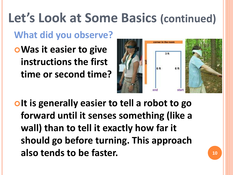#### **What did you observe?**

**Was it easier to give instructions the first time or second time?**



*Interally easier to tell a robot to go* **forward until it senses something (like a wall) than to tell it exactly how far it should go before turning. This approach also tends to be faster. <sup>10</sup>**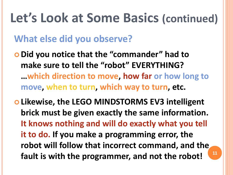#### **What else did you observe?**

 **Did you notice that the "commander" had to make sure to tell the "robot" EVERYTHING? …which direction to move, how far or how long to move, when to turn, which way to turn, etc.**

 **Likewise, the LEGO MINDSTORMS EV3 intelligent brick must be given exactly the same information. It knows nothing and will do exactly what you tell it to do. If you make a programming error, the robot will follow that incorrect command, and the fault is with the programmer, and not the robot! <sup>11</sup>**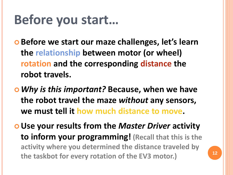### **Before you start…**

- $\circ$  **Before we start our maze challenges, let's learn the relationship between motor (or wheel) rotation and the corresponding distance the robot travels.**
- *Why is this important?* **Because, when we have the robot travel the maze** *without* **any sensors, we must tell it how much distance to move.**
- **Use your results from the** *Master Driver* **activity to inform your programming! (Recall that this is the activity where you determined the distance traveled by the taskbot for every rotation of the EV3 motor.) <sup>12</sup>**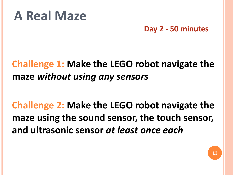### **A Real Maze**

**Day 2 - 50 minutes**

#### **Challenge 1: Make the LEGO robot navigate the maze** *without using any sensors*

#### **Challenge 2: Make the LEGO robot navigate the maze using the sound sensor, the touch sensor, and ultrasonic sensor** *at least once each*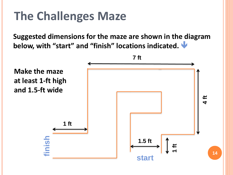### **The Challenges Maze**

**Suggested dimensions for the maze are shown in the diagram below, with "start" and "finish" locations indicated.** 

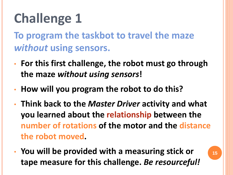## **Challenge 1**

**To program the taskbot to travel the maze**  *without* **using sensors.**

- **For this first challenge, the robot must go through the maze** *without using sensors***!**
- **How will you program the robot to do this?**
- **Think back to the** *Master Driver* **activity and what you learned about the relationship between the number of rotations of the motor and the distance the robot moved.**
- **You will be provided with a measuring stick or tape measure for this challenge.** *Be resourceful!*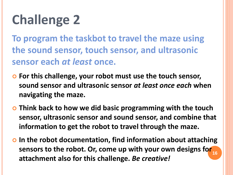## **Challenge 2**

**To program the taskbot to travel the maze using the sound sensor, touch sensor, and ultrasonic sensor each** *at least* **once.**

- **For this challenge, your robot must use the touch sensor, sound sensor and ultrasonic sensor** *at least once each* **when navigating the maze.**
- **Think back to how we did basic programming with the touch sensor, ultrasonic sensor and sound sensor, and combine that information to get the robot to travel through the maze.**
- **In the robot documentation, find information about attaching sensors to the robot. Or, come up with your own designs for 16 attachment also for this challenge.** *Be creative!*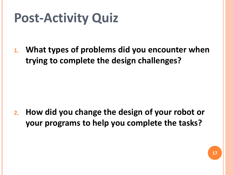## **Post-Activity Quiz**

**1. What types of problems did you encounter when trying to complete the design challenges?**

**2. How did you change the design of your robot or your programs to help you complete the tasks?**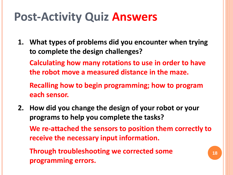### **Post-Activity Quiz Answers**

**1. What types of problems did you encounter when trying to complete the design challenges?**

**Calculating how many rotations to use in order to have the robot move a measured distance in the maze.**

**Recalling how to begin programming; how to program each sensor.**

**2. How did you change the design of your robot or your programs to help you complete the tasks?**

**We re-attached the sensors to position them correctly to receive the necessary input information.**

**Through troubleshooting we corrected some programming errors.**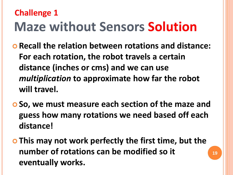### **Maze without Sensors Solution Challenge 1**

- **Recall the relation between rotations and distance: For each rotation, the robot travels a certain distance (inches or cms) and we can use**  *multiplication* **to approximate how far the robot will travel.**
- **So, we must measure each section of the maze and guess how many rotations we need based off each distance!**
- **This may not work perfectly the first time, but the number of rotations can be modified so it eventually works.**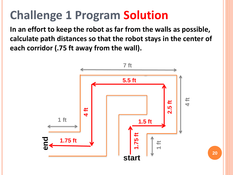### **Challenge 1 Program Solution**

**In an effort to keep the robot as far from the walls as possible, calculate path distances so that the robot stays in the center of each corridor (.75 ft away from the wall).**

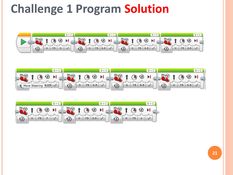### **Challenge 1 Program Solution**





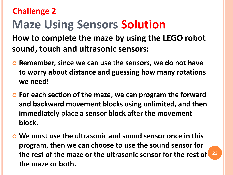### **Maze Using Sensors Solution Challenge 2**

**How to complete the maze by using the LEGO robot sound, touch and ultrasonic sensors:**

- **Remember, since we can use the sensors, we do not have to worry about distance and guessing how many rotations we need!**
- **For each section of the maze, we can program the forward and backward movement blocks using unlimited, and then immediately place a sensor block after the movement block.**
- **We must use the ultrasonic and sound sensor once in this program, then we can choose to use the sound sensor for the rest of the maze or the ultrasonic sensor for the rest of 22 the maze or both.**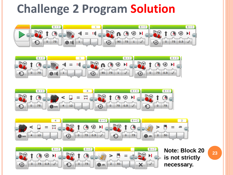### **Challenge 2 Program Solution**











**Note: Block 20 is not strictly necessary.**

**23**